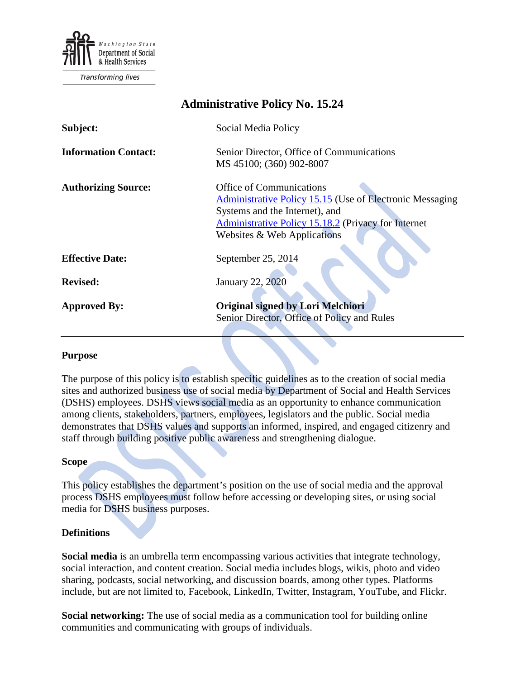

**Transforming lives** 

# **Administrative Policy No. 15.24**

| Subject:                    | Social Media Policy                                                                                                                                                                                                        |
|-----------------------------|----------------------------------------------------------------------------------------------------------------------------------------------------------------------------------------------------------------------------|
| <b>Information Contact:</b> | Senior Director, Office of Communications<br>MS 45100; (360) 902-8007                                                                                                                                                      |
| <b>Authorizing Source:</b>  | <b>Office of Communications</b><br><b>Administrative Policy 15.15 (Use of Electronic Messaging</b><br>Systems and the Internet), and<br>Administrative Policy 15.18.2 (Privacy for Internet<br>Websites & Web Applications |
| <b>Effective Date:</b>      | September 25, 2014                                                                                                                                                                                                         |
| <b>Revised:</b>             | <b>January 22, 2020</b>                                                                                                                                                                                                    |
| <b>Approved By:</b>         | <b>Original signed by Lori Melchiori</b><br>Senior Director, Office of Policy and Rules                                                                                                                                    |

#### **Purpose**

The purpose of this policy is to establish specific guidelines as to the creation of social media sites and authorized business use of social media by Department of Social and Health Services (DSHS) employees. DSHS views social media as an opportunity to enhance communication among clients, stakeholders, partners, employees, legislators and the public. Social media demonstrates that DSHS values and supports an informed, inspired, and engaged citizenry and staff through building positive public awareness and strengthening dialogue.

#### **Scope**

This policy establishes the department's position on the use of social media and the approval process DSHS employees must follow before accessing or developing sites, or using social media for DSHS business purposes.

#### **Definitions**

**Social media** is an umbrella term encompassing various activities that integrate technology, social interaction, and content creation. Social media includes blogs, wikis, photo and video sharing, podcasts, social networking, and discussion boards, among other types. Platforms include, but are not limited to, Facebook, LinkedIn, Twitter, Instagram, YouTube, and Flickr.

**Social networking:** The use of social media as a communication tool for building online communities and communicating with groups of individuals.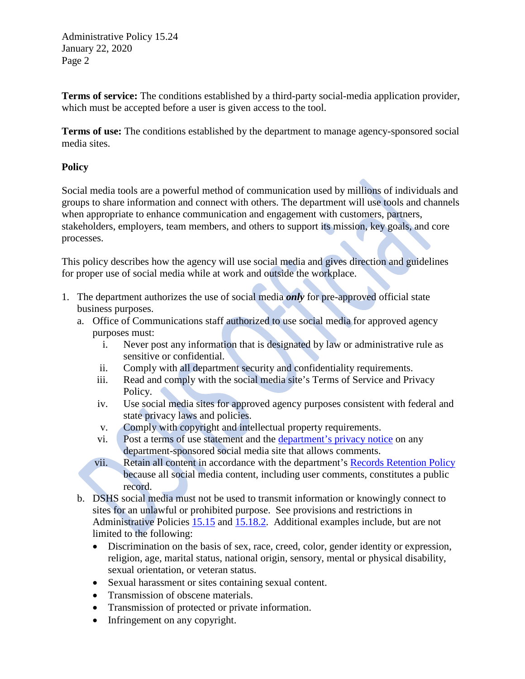**Terms of service:** The conditions established by a third-party social-media application provider, which must be accepted before a user is given access to the tool.

**Terms of use:** The conditions established by the department to manage agency-sponsored social media sites.

# **Policy**

Social media tools are a powerful method of communication used by millions of individuals and groups to share information and connect with others. The department will use tools and channels when appropriate to enhance communication and engagement with customers, partners, stakeholders, employers, team members, and others to support its mission, key goals, and core processes.

This policy describes how the agency will use social media and gives direction and guidelines for proper use of social media while at work and outside the workplace.

- 1. The department authorizes the use of social media *only* for pre-approved official state business purposes.
	- a. Office of Communications staff authorized to use social media for approved agency purposes must:
		- i. Never post any information that is designated by law or administrative rule as sensitive or confidential.
		- ii. Comply with all department security and confidentiality requirements.
		- iii. Read and comply with the social media site's Terms of Service and Privacy Policy.
		- iv. Use social media sites for approved agency purposes consistent with federal and state privacy laws and policies.
		- v. Comply with copyright and intellectual property requirements.
		- vi. Post a terms of use statement and the [department's privacy notice](http://dshs.wa.gov/disclaim.shtml) on any department-sponsored social media site that allows comments.
		- vii. Retain all content in accordance with the department's [Records Retention Policy](http://one.dshs.wa.lcl/Policies/Administrative/DSHS-AP-15-18-02.pdf) because all social media content, including user comments, constitutes a public record.
	- b. DSHS social media must not be used to transmit information or knowingly connect to sites for an unlawful or prohibited purpose. See provisions and restrictions in Administrative Policies [15.15](http://one.dshs.wa.lcl/Policies/Administrative/DSHS-AP-15-15.pdf) and [15.18.2.](http://one.dshs.wa.lcl/Policies/Administrative/DSHS-AP-15-18-02.pdf) Additional examples include, but are not limited to the following:
		- Discrimination on the basis of sex, race, creed, color, gender identity or expression, religion, age, marital status, national origin, sensory, mental or physical disability, sexual orientation, or veteran status.
		- Sexual harassment or sites containing sexual content.
		- Transmission of obscene materials.
		- Transmission of protected or private information.
		- Infringement on any copyright.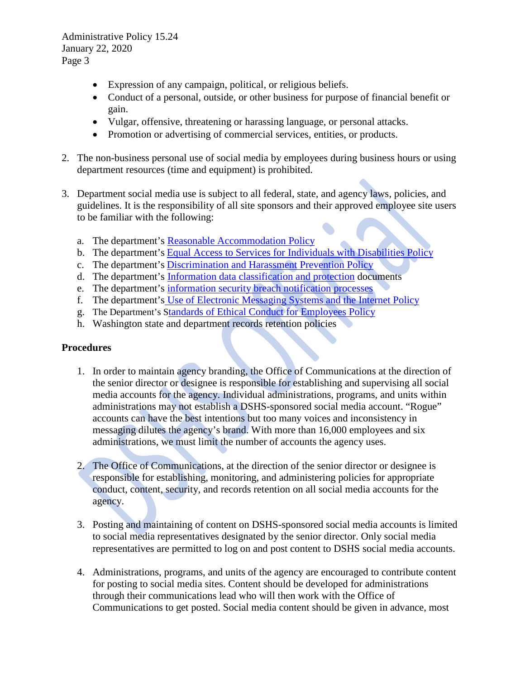- Expression of any campaign, political, or religious beliefs.
- Conduct of a personal, outside, or other business for purpose of financial benefit or gain.
- Vulgar, offensive, threatening or harassing language, or personal attacks.
- Promotion or advertising of commercial services, entities, or products.
- 2. The non-business personal use of social media by employees during business hours or using department resources (time and equipment) is prohibited.
- 3. Department social media use is subject to all federal, state, and agency laws, policies, and guidelines. It is the responsibility of all site sponsors and their approved employee site users to be familiar with the following:
	- a. The department's [Reasonable Accommodation Policy](http://one.dshs.wa.lcl/Policies/Administrative/DSHS-AP-18-26.pdf)
	- b. The department's [Equal Access to Services for Individuals with Disabilities Policy](http://one.dshs.wa.lcl/Policies/Administrative/DSHS-AP-07-02.pdf)
	- c. The department's [Discrimination and Harassment Prevention Policy](http://one.dshs.wa.lcl/Policies/Administrative/DSHS-AP-07-02.pdf)
	- d. The department's [Information data classification and protection](http://ishare.dshs.wa.lcl/Security/Manual/DSHS-ISSM-16.0-v1.0.0.pdf) documents
	- e. The department's [information security breach notification processes](http://one.dshs.wa.lcl/Policies/Administrative/DSHS-AP-05-01.pdf)
	- f. The department's [Use of Electronic Messaging Systems and the Internet Policy](http://one.dshs.wa.lcl/Policies/Administrative/DSHS-AP-15-15.pdf)
	- g. The Department's [Standards of Ethical Conduct for Employees Policy](http://one.dshs.wa.lcl/Policies/Administrative/DSHS-AP-18-64.pdf)
	- h. Washington state and department records retention policies

# **Procedures**

- 1. In order to maintain agency branding, the Office of Communications at the direction of the senior director or designee is responsible for establishing and supervising all social media accounts for the agency. Individual administrations, programs, and units within administrations may not establish a DSHS-sponsored social media account. "Rogue" accounts can have the best intentions but too many voices and inconsistency in messaging dilutes the agency's brand. With more than 16,000 employees and six administrations, we must limit the number of accounts the agency uses.
- 2. The Office of Communications, at the direction of the senior director or designee is responsible for establishing, monitoring, and administering policies for appropriate conduct, content, security, and records retention on all social media accounts for the agency.
- 3. Posting and maintaining of content on DSHS-sponsored social media accounts is limited to social media representatives designated by the senior director. Only social media representatives are permitted to log on and post content to DSHS social media accounts.
- 4. Administrations, programs, and units of the agency are encouraged to contribute content for posting to social media sites. Content should be developed for administrations through their communications lead who will then work with the Office of Communications to get posted. Social media content should be given in advance, most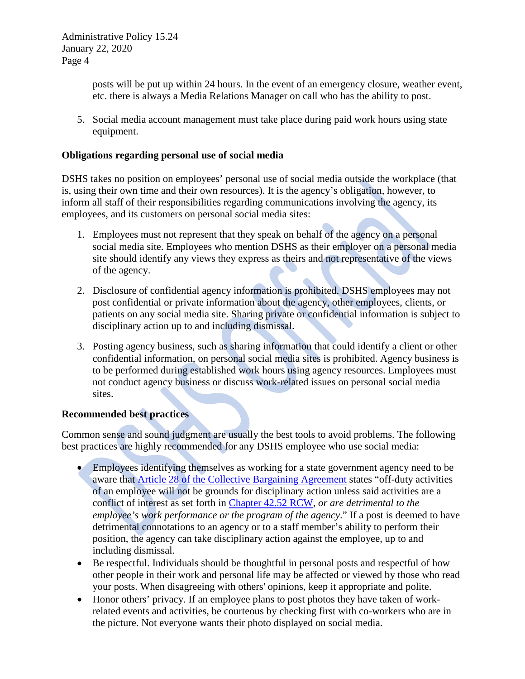> posts will be put up within 24 hours. In the event of an emergency closure, weather event, etc. there is always a Media Relations Manager on call who has the ability to post.

5. Social media account management must take place during paid work hours using state equipment.

### **Obligations regarding personal use of social media**

DSHS takes no position on employees' personal use of social media outside the workplace (that is, using their own time and their own resources). It is the agency's obligation, however, to inform all staff of their responsibilities regarding communications involving the agency, its employees, and its customers on personal social media sites:

- 1. Employees must not represent that they speak on behalf of the agency on a personal social media site. Employees who mention DSHS as their employer on a personal media site should identify any views they express as theirs and not representative of the views of the agency.
- 2. Disclosure of confidential agency information is prohibited. DSHS employees may not post confidential or private information about the agency, other employees, clients, or patients on any social media site. Sharing private or confidential information is subject to disciplinary action up to and including dismissal.
- 3. Posting agency business, such as sharing information that could identify a client or other confidential information, on personal social media sites is prohibited. Agency business is to be performed during established work hours using agency resources. Employees must not conduct agency business or discuss work-related issues on personal social media sites.

# **Recommended best practices**

Common sense and sound judgment are usually the best tools to avoid problems. The following best practices are highly recommended for any DSHS employee who use social media:

- Employees identifying themselves as working for a state government agency need to be aware that [Article 28 of the Collective Bargaining Agreement](https://www.ofm.wa.gov/sites/default/files/public/labor/agreements/19-21/wfse_gg.pdf) states "off-duty activities of an employee will not be grounds for disciplinary action unless said activities are a conflict of interest as set forth in [Chapter 42.52 RCW,](https://apps.leg.wa.gov/RCW/default.aspx?cite=42.52) *or are detrimental to the employee's work performance or the program of the agency*." If a post is deemed to have detrimental connotations to an agency or to a staff member's ability to perform their position, the agency can take disciplinary action against the employee, up to and including dismissal.
- Be respectful. Individuals should be thoughtful in personal posts and respectful of how other people in their work and personal life may be affected or viewed by those who read your posts. When disagreeing with others' opinions, keep it appropriate and polite.
- Honor others' privacy. If an employee plans to post photos they have taken of workrelated events and activities, be courteous by checking first with co-workers who are in the picture. Not everyone wants their photo displayed on social media.